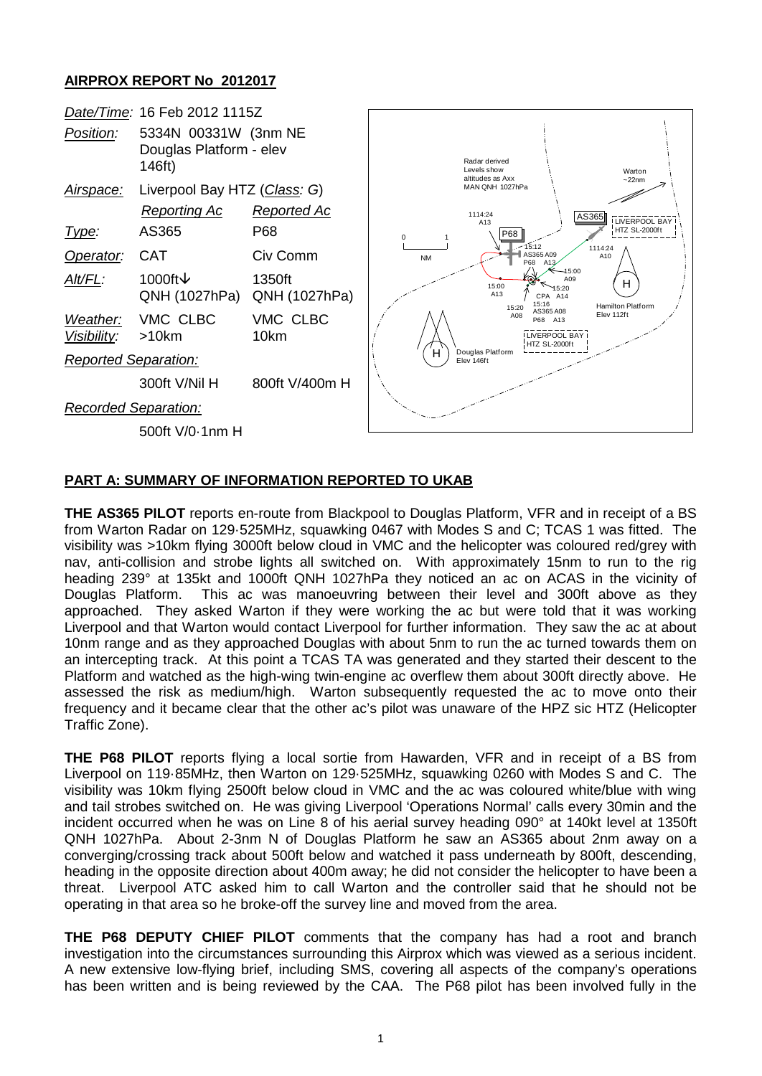## **AIRPROX REPORT No 2012017**



## **PART A: SUMMARY OF INFORMATION REPORTED TO UKAB**

**THE AS365 PILOT** reports en-route from Blackpool to Douglas Platform, VFR and in receipt of a BS from Warton Radar on 129·525MHz, squawking 0467 with Modes S and C; TCAS 1 was fitted. The visibility was >10km flying 3000ft below cloud in VMC and the helicopter was coloured red/grey with nav, anti-collision and strobe lights all switched on. With approximately 15nm to run to the rig heading 239° at 135kt and 1000ft QNH 1027hPa they noticed an ac on ACAS in the vicinity of Douglas Platform. This ac was manoeuvring between their level and 300ft above as they approached. They asked Warton if they were working the ac but were told that it was working Liverpool and that Warton would contact Liverpool for further information. They saw the ac at about 10nm range and as they approached Douglas with about 5nm to run the ac turned towards them on an intercepting track. At this point a TCAS TA was generated and they started their descent to the Platform and watched as the high-wing twin-engine ac overflew them about 300ft directly above. He assessed the risk as medium/high. Warton subsequently requested the ac to move onto their frequency and it became clear that the other ac's pilot was unaware of the HPZ sic HTZ (Helicopter Traffic Zone).

**THE P68 PILOT** reports flying a local sortie from Hawarden, VFR and in receipt of a BS from Liverpool on 119·85MHz, then Warton on 129·525MHz, squawking 0260 with Modes S and C. The visibility was 10km flying 2500ft below cloud in VMC and the ac was coloured white/blue with wing and tail strobes switched on. He was giving Liverpool 'Operations Normal' calls every 30min and the incident occurred when he was on Line 8 of his aerial survey heading 090° at 140kt level at 1350ft QNH 1027hPa. About 2-3nm N of Douglas Platform he saw an AS365 about 2nm away on a converging/crossing track about 500ft below and watched it pass underneath by 800ft, descending, heading in the opposite direction about 400m away; he did not consider the helicopter to have been a threat. Liverpool ATC asked him to call Warton and the controller said that he should not be operating in that area so he broke-off the survey line and moved from the area.

**THE P68 DEPUTY CHIEF PILOT** comments that the company has had a root and branch investigation into the circumstances surrounding this Airprox which was viewed as a serious incident. A new extensive low-flying brief, including SMS, covering all aspects of the company's operations has been written and is being reviewed by the CAA. The P68 pilot has been involved fully in the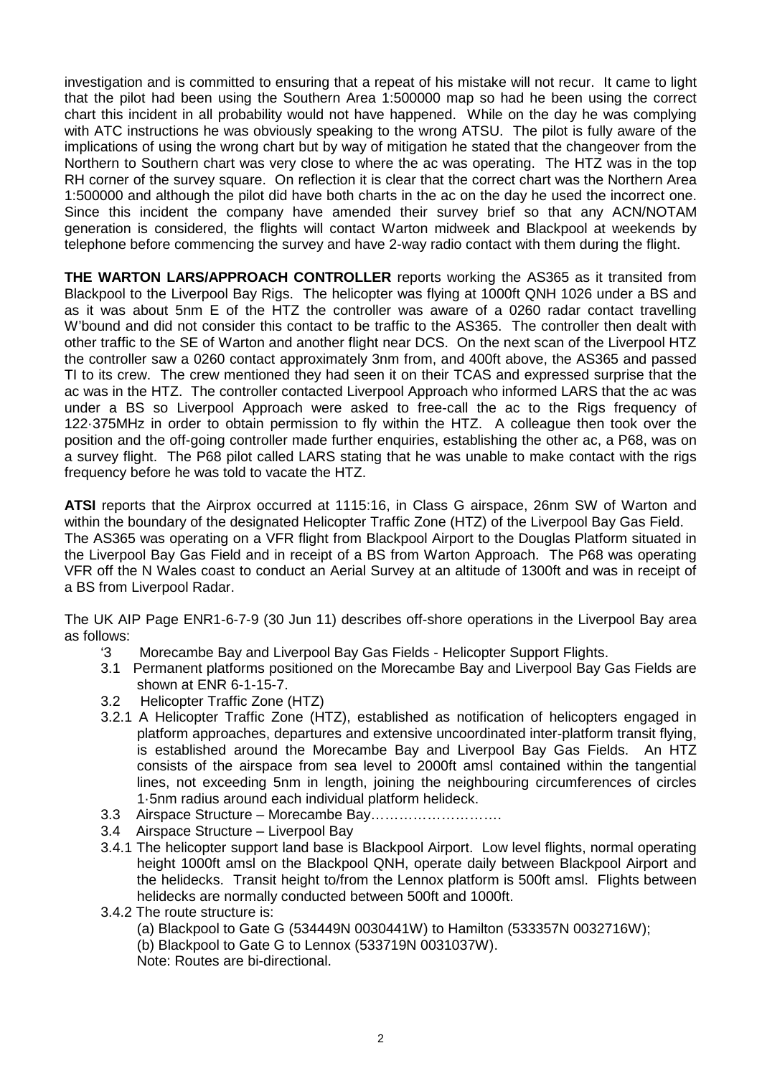investigation and is committed to ensuring that a repeat of his mistake will not recur. It came to light that the pilot had been using the Southern Area 1:500000 map so had he been using the correct chart this incident in all probability would not have happened. While on the day he was complying with ATC instructions he was obviously speaking to the wrong ATSU. The pilot is fully aware of the implications of using the wrong chart but by way of mitigation he stated that the changeover from the Northern to Southern chart was very close to where the ac was operating. The HTZ was in the top RH corner of the survey square. On reflection it is clear that the correct chart was the Northern Area 1:500000 and although the pilot did have both charts in the ac on the day he used the incorrect one. Since this incident the company have amended their survey brief so that any ACN/NOTAM generation is considered, the flights will contact Warton midweek and Blackpool at weekends by telephone before commencing the survey and have 2-way radio contact with them during the flight.

**THE WARTON LARS/APPROACH CONTROLLER** reports working the AS365 as it transited from Blackpool to the Liverpool Bay Rigs. The helicopter was flying at 1000ft QNH 1026 under a BS and as it was about 5nm E of the HTZ the controller was aware of a 0260 radar contact travelling W'bound and did not consider this contact to be traffic to the AS365. The controller then dealt with other traffic to the SE of Warton and another flight near DCS. On the next scan of the Liverpool HTZ the controller saw a 0260 contact approximately 3nm from, and 400ft above, the AS365 and passed TI to its crew. The crew mentioned they had seen it on their TCAS and expressed surprise that the ac was in the HTZ. The controller contacted Liverpool Approach who informed LARS that the ac was under a BS so Liverpool Approach were asked to free-call the ac to the Rigs frequency of 122·375MHz in order to obtain permission to fly within the HTZ. A colleague then took over the position and the off-going controller made further enquiries, establishing the other ac, a P68, was on a survey flight. The P68 pilot called LARS stating that he was unable to make contact with the rigs frequency before he was told to vacate the HTZ.

**ATSI** reports that the Airprox occurred at 1115:16, in Class G airspace, 26nm SW of Warton and within the boundary of the designated Helicopter Traffic Zone (HTZ) of the Liverpool Bay Gas Field. The AS365 was operating on a VFR flight from Blackpool Airport to the Douglas Platform situated in the Liverpool Bay Gas Field and in receipt of a BS from Warton Approach. The P68 was operating VFR off the N Wales coast to conduct an Aerial Survey at an altitude of 1300ft and was in receipt of a BS from Liverpool Radar.

The UK AIP Page ENR1-6-7-9 (30 Jun 11) describes off-shore operations in the Liverpool Bay area as follows:

- Morecambe Bay and Liverpool Bay Gas Fields Helicopter Support Flights.
- 3.1 Permanent platforms positioned on the Morecambe Bay and Liverpool Bay Gas Fields are shown at ENR 6-1-15-7.
- 3.2 Helicopter Traffic Zone (HTZ)
- 3.2.1 A Helicopter Traffic Zone (HTZ), established as notification of helicopters engaged in platform approaches, departures and extensive uncoordinated inter-platform transit flying, is established around the Morecambe Bay and Liverpool Bay Gas Fields. An HTZ consists of the airspace from sea level to 2000ft amsl contained within the tangential lines, not exceeding 5nm in length, joining the neighbouring circumferences of circles 1·5nm radius around each individual platform helideck.
- 3.3 Airspace Structure Morecambe Bay……………………….
- 3.4 Airspace Structure Liverpool Bay
- 3.4.1 The helicopter support land base is Blackpool Airport. Low level flights, normal operating height 1000ft amsl on the Blackpool QNH, operate daily between Blackpool Airport and the helidecks. Transit height to/from the Lennox platform is 500ft amsl. Flights between helidecks are normally conducted between 500ft and 1000ft.
- 3.4.2 The route structure is:

(a) Blackpool to Gate G (534449N 0030441W) to Hamilton (533357N 0032716W);

(b) Blackpool to Gate G to Lennox (533719N 0031037W).

Note: Routes are bi-directional.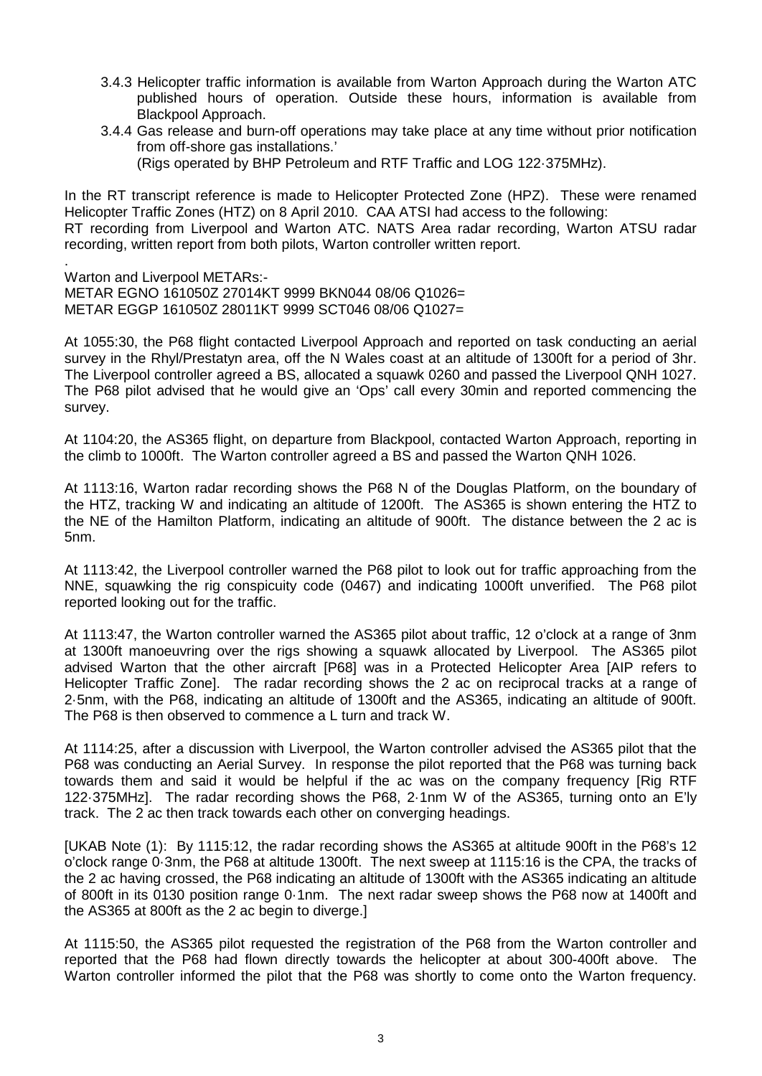- 3.4.3 Helicopter traffic information is available from Warton Approach during the Warton ATC published hours of operation. Outside these hours, information is available from Blackpool Approach.
- 3.4.4 Gas release and burn-off operations may take place at any time without prior notification from off-shore gas installations.'

(Rigs operated by BHP Petroleum and RTF Traffic and LOG 122·375MHz).

In the RT transcript reference is made to Helicopter Protected Zone (HPZ). These were renamed Helicopter Traffic Zones (HTZ) on 8 April 2010. CAA ATSI had access to the following: RT recording from Liverpool and Warton ATC. NATS Area radar recording, Warton ATSU radar

recording, written report from both pilots, Warton controller written report.

. Warton and Liverpool METARs:- METAR EGNO 161050Z 27014KT 9999 BKN044 08/06 Q1026= METAR EGGP 161050Z 28011KT 9999 SCT046 08/06 Q1027=

At 1055:30, the P68 flight contacted Liverpool Approach and reported on task conducting an aerial survey in the Rhyl/Prestatyn area, off the N Wales coast at an altitude of 1300ft for a period of 3hr. The Liverpool controller agreed a BS, allocated a squawk 0260 and passed the Liverpool QNH 1027. The P68 pilot advised that he would give an 'Ops' call every 30min and reported commencing the survey.

At 1104:20, the AS365 flight, on departure from Blackpool, contacted Warton Approach, reporting in the climb to 1000ft. The Warton controller agreed a BS and passed the Warton QNH 1026.

At 1113:16, Warton radar recording shows the P68 N of the Douglas Platform, on the boundary of the HTZ, tracking W and indicating an altitude of 1200ft. The AS365 is shown entering the HTZ to the NE of the Hamilton Platform, indicating an altitude of 900ft. The distance between the 2 ac is 5nm.

At 1113:42, the Liverpool controller warned the P68 pilot to look out for traffic approaching from the NNE, squawking the rig conspicuity code (0467) and indicating 1000ft unverified. The P68 pilot reported looking out for the traffic.

At 1113:47, the Warton controller warned the AS365 pilot about traffic, 12 o'clock at a range of 3nm at 1300ft manoeuvring over the rigs showing a squawk allocated by Liverpool. The AS365 pilot advised Warton that the other aircraft [P68] was in a Protected Helicopter Area [AIP refers to Helicopter Traffic Zone]. The radar recording shows the 2 ac on reciprocal tracks at a range of 2·5nm, with the P68, indicating an altitude of 1300ft and the AS365, indicating an altitude of 900ft. The P68 is then observed to commence a L turn and track W.

At 1114:25, after a discussion with Liverpool, the Warton controller advised the AS365 pilot that the P68 was conducting an Aerial Survey. In response the pilot reported that the P68 was turning back towards them and said it would be helpful if the ac was on the company frequency [Rig RTF 122·375MHz]. The radar recording shows the P68, 2·1nm W of the AS365, turning onto an E'ly track. The 2 ac then track towards each other on converging headings.

[UKAB Note (1): By 1115:12, the radar recording shows the AS365 at altitude 900ft in the P68's 12 o'clock range 0·3nm, the P68 at altitude 1300ft. The next sweep at 1115:16 is the CPA, the tracks of the 2 ac having crossed, the P68 indicating an altitude of 1300ft with the AS365 indicating an altitude of 800ft in its 0130 position range 0·1nm. The next radar sweep shows the P68 now at 1400ft and the AS365 at 800ft as the 2 ac begin to diverge.]

At 1115:50, the AS365 pilot requested the registration of the P68 from the Warton controller and reported that the P68 had flown directly towards the helicopter at about 300-400ft above. The Warton controller informed the pilot that the P68 was shortly to come onto the Warton frequency.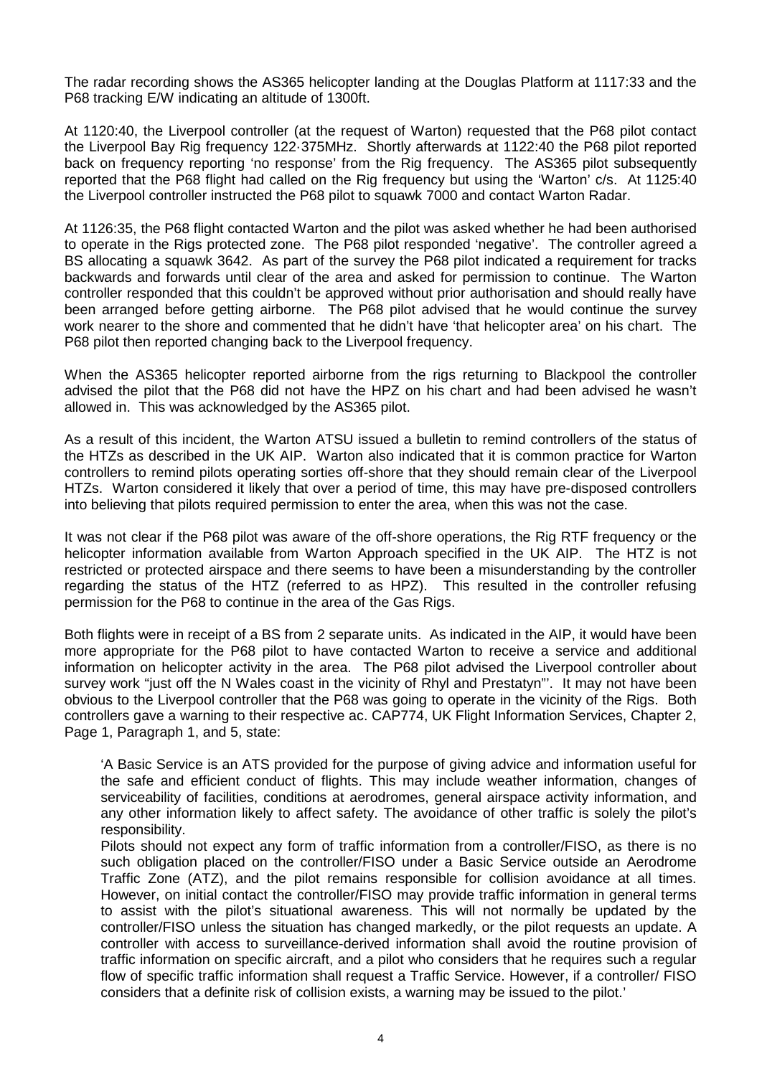The radar recording shows the AS365 helicopter landing at the Douglas Platform at 1117:33 and the P68 tracking E/W indicating an altitude of 1300ft.

At 1120:40, the Liverpool controller (at the request of Warton) requested that the P68 pilot contact the Liverpool Bay Rig frequency 122·375MHz. Shortly afterwards at 1122:40 the P68 pilot reported back on frequency reporting 'no response' from the Rig frequency. The AS365 pilot subsequently reported that the P68 flight had called on the Rig frequency but using the 'Warton' c/s. At 1125:40 the Liverpool controller instructed the P68 pilot to squawk 7000 and contact Warton Radar.

At 1126:35, the P68 flight contacted Warton and the pilot was asked whether he had been authorised to operate in the Rigs protected zone. The P68 pilot responded 'negative'. The controller agreed a BS allocating a squawk 3642. As part of the survey the P68 pilot indicated a requirement for tracks backwards and forwards until clear of the area and asked for permission to continue. The Warton controller responded that this couldn't be approved without prior authorisation and should really have been arranged before getting airborne. The P68 pilot advised that he would continue the survey work nearer to the shore and commented that he didn't have 'that helicopter area' on his chart. The P68 pilot then reported changing back to the Liverpool frequency.

When the AS365 helicopter reported airborne from the rigs returning to Blackpool the controller advised the pilot that the P68 did not have the HPZ on his chart and had been advised he wasn't allowed in. This was acknowledged by the AS365 pilot.

As a result of this incident, the Warton ATSU issued a bulletin to remind controllers of the status of the HTZs as described in the UK AIP. Warton also indicated that it is common practice for Warton controllers to remind pilots operating sorties off-shore that they should remain clear of the Liverpool HTZs. Warton considered it likely that over a period of time, this may have pre-disposed controllers into believing that pilots required permission to enter the area, when this was not the case.

It was not clear if the P68 pilot was aware of the off-shore operations, the Rig RTF frequency or the helicopter information available from Warton Approach specified in the UK AIP. The HTZ is not restricted or protected airspace and there seems to have been a misunderstanding by the controller regarding the status of the HTZ (referred to as HPZ). This resulted in the controller refusing permission for the P68 to continue in the area of the Gas Rigs.

Both flights were in receipt of a BS from 2 separate units. As indicated in the AIP, it would have been more appropriate for the P68 pilot to have contacted Warton to receive a service and additional information on helicopter activity in the area. The P68 pilot advised the Liverpool controller about survey work "just off the N Wales coast in the vicinity of Rhyl and Prestatyn"'. It may not have been obvious to the Liverpool controller that the P68 was going to operate in the vicinity of the Rigs. Both controllers gave a warning to their respective ac. CAP774, UK Flight Information Services, Chapter 2, Page 1, Paragraph 1, and 5, state:

'A Basic Service is an ATS provided for the purpose of giving advice and information useful for the safe and efficient conduct of flights. This may include weather information, changes of serviceability of facilities, conditions at aerodromes, general airspace activity information, and any other information likely to affect safety. The avoidance of other traffic is solely the pilot's responsibility.

Pilots should not expect any form of traffic information from a controller/FISO, as there is no such obligation placed on the controller/FISO under a Basic Service outside an Aerodrome Traffic Zone (ATZ), and the pilot remains responsible for collision avoidance at all times. However, on initial contact the controller/FISO may provide traffic information in general terms to assist with the pilot's situational awareness. This will not normally be updated by the controller/FISO unless the situation has changed markedly, or the pilot requests an update. A controller with access to surveillance-derived information shall avoid the routine provision of traffic information on specific aircraft, and a pilot who considers that he requires such a regular flow of specific traffic information shall request a Traffic Service. However, if a controller/ FISO considers that a definite risk of collision exists, a warning may be issued to the pilot.'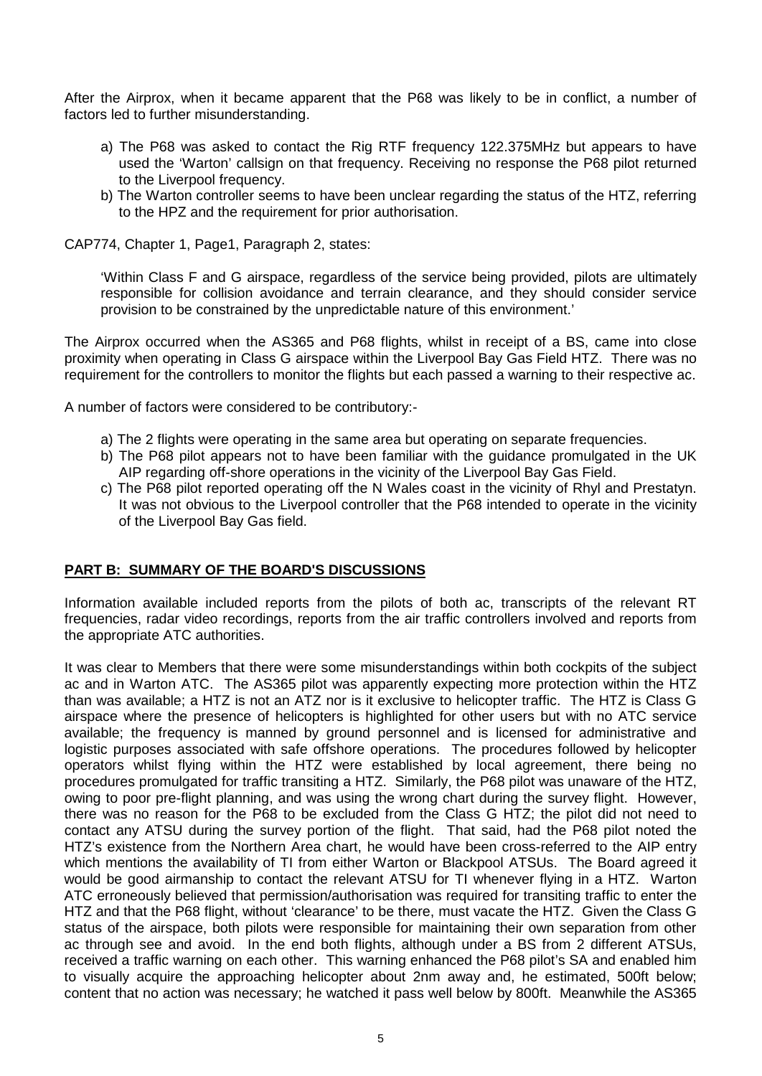After the Airprox, when it became apparent that the P68 was likely to be in conflict, a number of factors led to further misunderstanding.

- a) The P68 was asked to contact the Rig RTF frequency 122.375MHz but appears to have used the 'Warton' callsign on that frequency. Receiving no response the P68 pilot returned to the Liverpool frequency.
- b) The Warton controller seems to have been unclear regarding the status of the HTZ, referring to the HPZ and the requirement for prior authorisation.

CAP774, Chapter 1, Page1, Paragraph 2, states:

'Within Class F and G airspace, regardless of the service being provided, pilots are ultimately responsible for collision avoidance and terrain clearance, and they should consider service provision to be constrained by the unpredictable nature of this environment.'

The Airprox occurred when the AS365 and P68 flights, whilst in receipt of a BS, came into close proximity when operating in Class G airspace within the Liverpool Bay Gas Field HTZ. There was no requirement for the controllers to monitor the flights but each passed a warning to their respective ac.

A number of factors were considered to be contributory:-

- a) The 2 flights were operating in the same area but operating on separate frequencies.
- b) The P68 pilot appears not to have been familiar with the guidance promulgated in the UK AIP regarding off-shore operations in the vicinity of the Liverpool Bay Gas Field.
- c) The P68 pilot reported operating off the N Wales coast in the vicinity of Rhyl and Prestatyn. It was not obvious to the Liverpool controller that the P68 intended to operate in the vicinity of the Liverpool Bay Gas field.

## **PART B: SUMMARY OF THE BOARD'S DISCUSSIONS**

Information available included reports from the pilots of both ac, transcripts of the relevant RT frequencies, radar video recordings, reports from the air traffic controllers involved and reports from the appropriate ATC authorities.

It was clear to Members that there were some misunderstandings within both cockpits of the subject ac and in Warton ATC. The AS365 pilot was apparently expecting more protection within the HTZ than was available; a HTZ is not an ATZ nor is it exclusive to helicopter traffic. The HTZ is Class G airspace where the presence of helicopters is highlighted for other users but with no ATC service available; the frequency is manned by ground personnel and is licensed for administrative and logistic purposes associated with safe offshore operations. The procedures followed by helicopter operators whilst flying within the HTZ were established by local agreement, there being no procedures promulgated for traffic transiting a HTZ. Similarly, the P68 pilot was unaware of the HTZ, owing to poor pre-flight planning, and was using the wrong chart during the survey flight. However, there was no reason for the P68 to be excluded from the Class G HTZ; the pilot did not need to contact any ATSU during the survey portion of the flight. That said, had the P68 pilot noted the HTZ's existence from the Northern Area chart, he would have been cross-referred to the AIP entry which mentions the availability of TI from either Warton or Blackpool ATSUs. The Board agreed it would be good airmanship to contact the relevant ATSU for TI whenever flying in a HTZ. Warton ATC erroneously believed that permission/authorisation was required for transiting traffic to enter the HTZ and that the P68 flight, without 'clearance' to be there, must vacate the HTZ. Given the Class G status of the airspace, both pilots were responsible for maintaining their own separation from other ac through see and avoid. In the end both flights, although under a BS from 2 different ATSUs, received a traffic warning on each other. This warning enhanced the P68 pilot's SA and enabled him to visually acquire the approaching helicopter about 2nm away and, he estimated, 500ft below; content that no action was necessary; he watched it pass well below by 800ft. Meanwhile the AS365